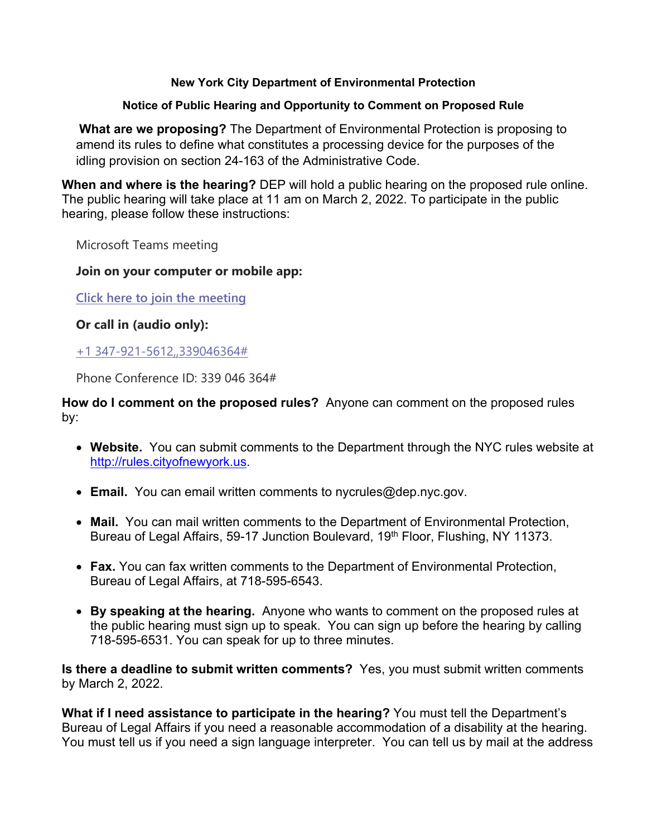# **New York City Department of Environmental Protection**

# **Notice of Public Hearing and Opportunity to Comment on Proposed Rule**

**What are we proposing?** The Department of Environmental Protection is proposing to amend its rules to define what constitutes a processing device for the purposes of the idling provision on section 24-163 of the Administrative Code.

**When and where is the hearing?** DEP will hold a public hearing on the proposed rule online. The public hearing will take place at 11 am on March 2, 2022. To participate in the public hearing, please follow these instructions:

Microsoft Teams meeting

# **Join on your computer or mobile app:**

**Click here to join the [meeting](https://teams.microsoft.com/l/meetup-join/19%3ameeting_ZDhjZjE5ODctODgzOC00NWQ0LThiODAtYjQ1YjVlNTQwNWYz%40thread.v2/0?context=%7b%22Tid%22%3a%22f470a35f-0853-4633-aae3-ce4e8b5085a3%22%2c%22Oid%22%3a%223be95223-e5f6-4887-8b60-3226fcd02459%22%7d)**

**Or call in (audio only):**

+1 [347-921-5612,,339046364#](tel:+13479215612,,339046364#)

Phone Conference ID: 339 046 364#

**How do I comment on the proposed rules?** Anyone can comment on the proposed rules by:

- **Website.** You can submit comments to the Department through the NYC rules website at [http://rules.cityofnewyork.us.](http://rules.cityofnewyork.us/)
- **Email.** You can email written comments to nycrules@dep.nyc.gov.
- **Mail.** You can mail written comments to the Department of Environmental Protection, Bureau of Legal Affairs, 59-17 Junction Boulevard, 19<sup>th</sup> Floor, Flushing, NY 11373.
- **Fax.** You can fax written comments to the Department of Environmental Protection, Bureau of Legal Affairs, at 718-595-6543.
- **By speaking at the hearing.** Anyone who wants to comment on the proposed rules at the public hearing must sign up to speak. You can sign up before the hearing by calling 718-595-6531. You can speak for up to three minutes.

**Is there a deadline to submit written comments?** Yes, you must submit written comments by March 2, 2022.

**What if I need assistance to participate in the hearing?** You must tell the Department's Bureau of Legal Affairs if you need a reasonable accommodation of a disability at the hearing. You must tell us if you need a sign language interpreter. You can tell us by mail at the address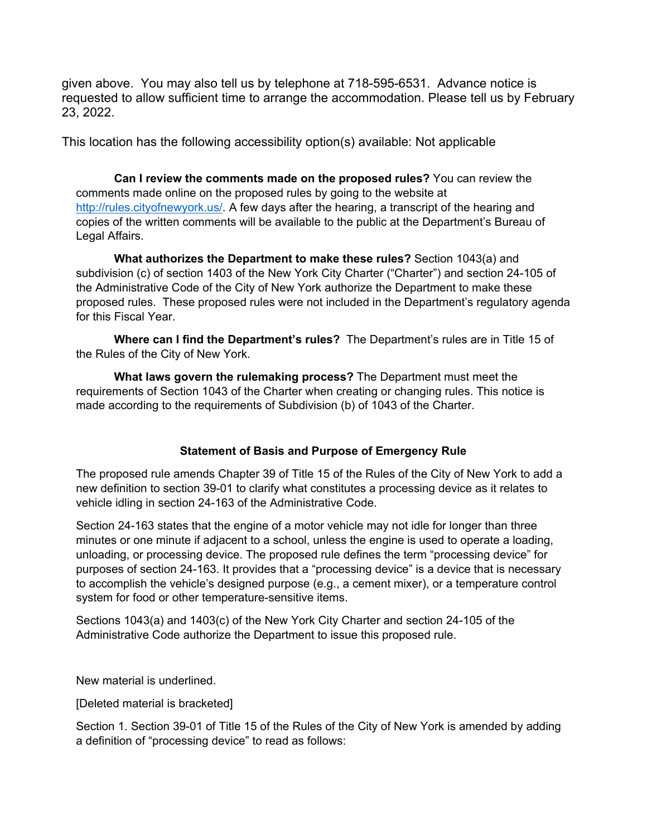given above. You may also tell us by telephone at 718-595-6531. Advance notice is requested to allow sufficient time to arrange the accommodation. Please tell us by February 23, 2022.

This location has the following accessibility option(s) available: Not applicable

**Can I review the comments made on the proposed rules?** You can review the comments made online on the proposed rules by going to the website at [http://rules.cityofnewyork.us/.](http://rules.cityofnewyork.us/) A few days after the hearing, a transcript of the hearing and copies of the written comments will be available to the public at the Department's Bureau of Legal Affairs.

**What authorizes the Department to make these rules?** Section 1043(a) and subdivision (c) of section 1403 of the New York City Charter ("Charter") and section 24-105 of the Administrative Code of the City of New York authorize the Department to make these proposed rules. These proposed rules were not included in the Department's regulatory agenda for this Fiscal Year.

**Where can I find the Department's rules?** The Department's rules are in Title 15 of the Rules of the City of New York.

**What laws govern the rulemaking process?** The Department must meet the requirements of Section 1043 of the Charter when creating or changing rules. This notice is made according to the requirements of Subdivision (b) of 1043 of the Charter.

## **Statement of Basis and Purpose of Emergency Rule**

The proposed rule amends Chapter 39 of Title 15 of the Rules of the City of New York to add a new definition to section 39-01 to clarify what constitutes a processing device as it relates to vehicle idling in section 24-163 of the Administrative Code.

Section 24-163 states that the engine of a motor vehicle may not idle for longer than three minutes or one minute if adjacent to a school, unless the engine is used to operate a loading, unloading, or processing device. The proposed rule defines the term "processing device" for purposes of section 24-163. It provides that a "processing device" is a device that is necessary to accomplish the vehicle's designed purpose (e.g., a cement mixer), or a temperature control system for food or other temperature-sensitive items.

Sections 1043(a) and 1403(c) of the New York City Charter and section 24-105 of the Administrative Code authorize the Department to issue this proposed rule.

New material is underlined.

[Deleted material is bracketed]

Section 1. Section 39-01 of Title 15 of the Rules of the City of New York is amended by adding a definition of "processing device" to read as follows: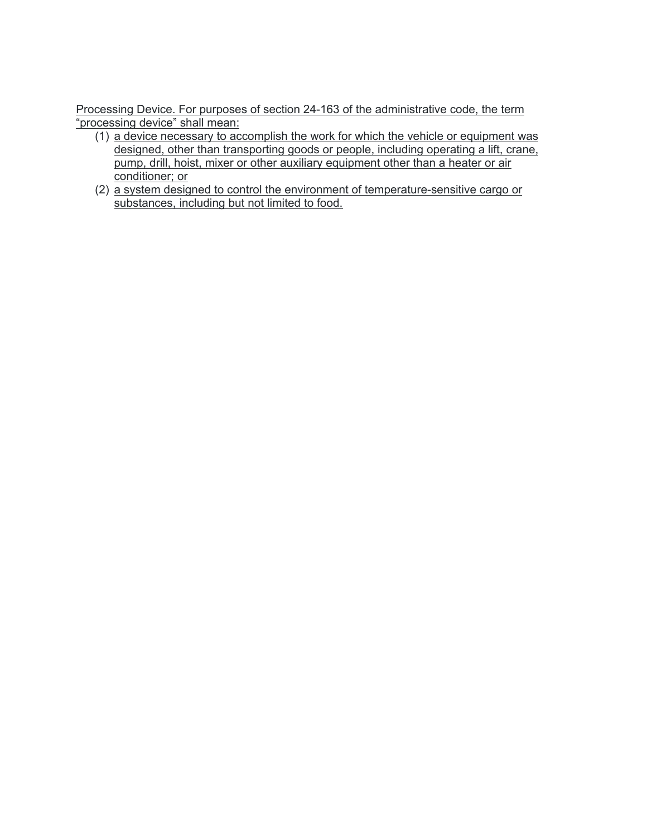Processing Device. For purposes of section 24-163 of the administrative code, the term "processing device" shall mean:

- (1) a device necessary to accomplish the work for which the vehicle or equipment was designed, other than transporting goods or people, including operating a lift, crane, pump, drill, hoist, mixer or other auxiliary equipment other than a heater or air conditioner; or
- (2) a system designed to control the environment of temperature-sensitive cargo or substances, including but not limited to food.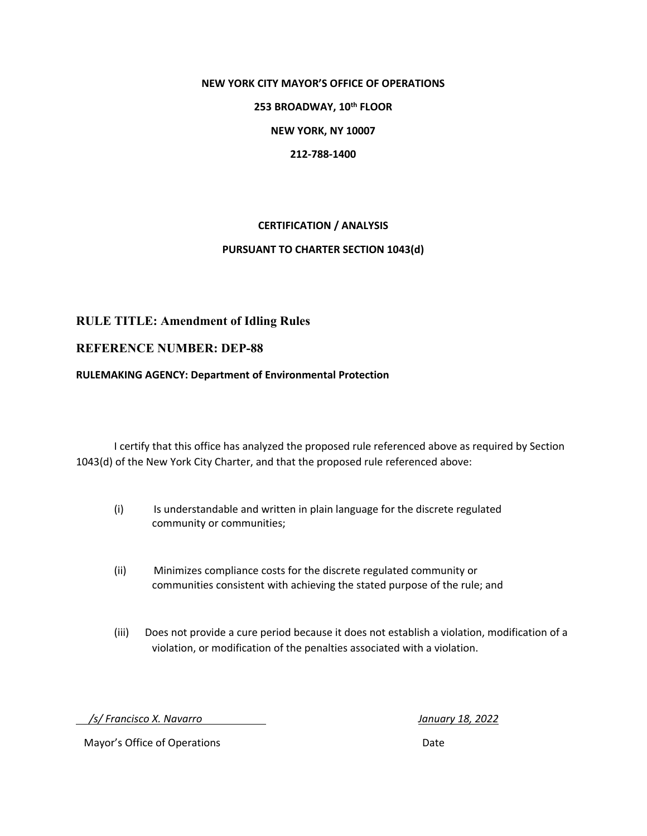#### **NEW YORK CITY MAYOR'S OFFICE OF OPERATIONS**

**253 BROADWAY, 10th FLOOR**

**NEW YORK, NY 10007**

**212-788-1400**

#### **CERTIFICATION / ANALYSIS**

#### **PURSUANT TO CHARTER SECTION 1043(d)**

## **RULE TITLE: Amendment of Idling Rules**

#### **REFERENCE NUMBER: DEP-88**

#### **RULEMAKING AGENCY: Department of Environmental Protection**

I certify that this office has analyzed the proposed rule referenced above as required by Section 1043(d) of the New York City Charter, and that the proposed rule referenced above:

- (i) Is understandable and written in plain language for the discrete regulated community or communities;
- (ii) Minimizes compliance costs for the discrete regulated community or communities consistent with achieving the stated purpose of the rule; and
- (iii) Does not provide a cure period because it does not establish a violation, modification of a violation, or modification of the penalties associated with a violation.

 */s/ Francisco X. Navarro January 18, 2022*

Mayor's Office of Operations **Date**